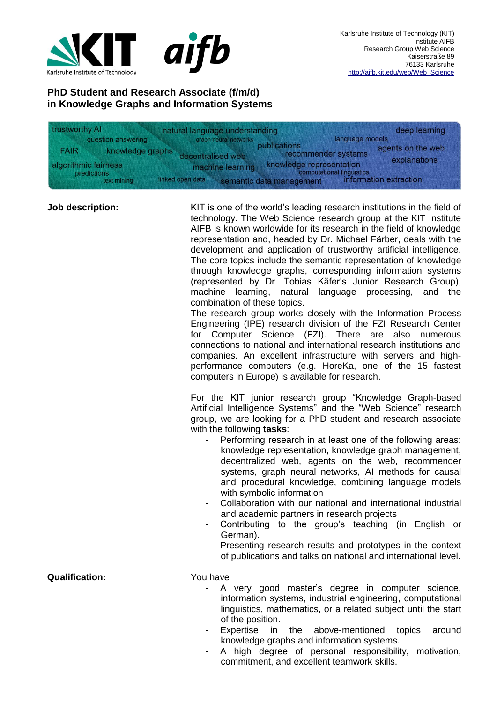

## **PhD Student and Research Associate (f/m/d) in Knowledge Graphs and Information Systems**

| trustworthy AI       |                            | natural language understanding                                   | deep learning                                                                                   |
|----------------------|----------------------------|------------------------------------------------------------------|-------------------------------------------------------------------------------------------------|
|                      | question answering         | graph neural networks                                            | language models                                                                                 |
| <b>FAIR</b>          | knowledge graphs           | publications<br>decentralised web                                | agents on the web<br>recommender systems                                                        |
| algorithmic fairness | predictions<br>text mining | machine learning<br>linked open data<br>semantic data management | explanations<br>knowledge representation<br>computational linguistics<br>information extraction |

**Job description:** KIT is one of the world's leading research institutions in the field of technology. The Web Science research group at the KIT Institute AIFB is known worldwide for its research in the field of knowledge representation and, headed by Dr. Michael Färber, deals with the development and application of trustworthy artificial intelligence. The core topics include the semantic representation of knowledge through knowledge graphs, corresponding information systems (represented by Dr. Tobias Käfer's Junior Research Group), machine learning, natural language processing, and the combination of these topics.

> The research group works closely with the Information Process Engineering (IPE) research division of the FZI Research Center for Computer Science (FZI). There are also numerous connections to national and international research institutions and companies. An excellent infrastructure with servers and highperformance computers (e.g. HoreKa, one of the 15 fastest computers in Europe) is available for research.

> For the KIT junior research group "Knowledge Graph-based Artificial Intelligence Systems" and the "Web Science" research group, we are looking for a PhD student and research associate with the following **tasks**:

- Performing research in at least one of the following areas: knowledge representation, knowledge graph management, decentralized web, agents on the web, recommender systems, graph neural networks, AI methods for causal and procedural knowledge, combining language models with symbolic information
- Collaboration with our national and international industrial and academic partners in research projects
- Contributing to the group's teaching (in English or German).
- Presenting research results and prototypes in the context of publications and talks on national and international level.

## **Qualification:** You have

- A very good master's degree in computer science, information systems, industrial engineering, computational linguistics, mathematics, or a related subject until the start of the position.
- Expertise in the above-mentioned topics around knowledge graphs and information systems.
- A high degree of personal responsibility, motivation, commitment, and excellent teamwork skills.